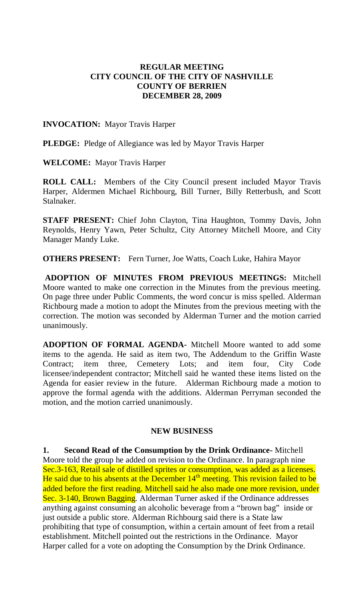## **REGULAR MEETING CITY COUNCIL OF THE CITY OF NASHVILLE COUNTY OF BERRIEN DECEMBER 28, 2009**

#### **INVOCATION:** Mayor Travis Harper

**PLEDGE:** Pledge of Allegiance was led by Mayor Travis Harper

**WELCOME:** Mayor Travis Harper

**ROLL CALL:** Members of the City Council present included Mayor Travis Harper, Aldermen Michael Richbourg, Bill Turner, Billy Retterbush, and Scott Stalnaker.

**STAFF PRESENT:** Chief John Clayton, Tina Haughton, Tommy Davis, John Reynolds, Henry Yawn, Peter Schultz, City Attorney Mitchell Moore, and City Manager Mandy Luke.

**OTHERS PRESENT:** Fern Turner, Joe Watts, Coach Luke, Hahira Mayor

**ADOPTION OF MINUTES FROM PREVIOUS MEETINGS:** Mitchell Moore wanted to make one correction in the Minutes from the previous meeting. On page three under Public Comments, the word concur is miss spelled. Alderman Richbourg made a motion to adopt the Minutes from the previous meeting with the correction. The motion was seconded by Alderman Turner and the motion carried unanimously.

**ADOPTION OF FORMAL AGENDA-** Mitchell Moore wanted to add some items to the agenda. He said as item two, The Addendum to the Griffin Waste Contract; item three, Cemetery Lots; and item four, City Code licensee/independent contractor; Mitchell said he wanted these items listed on the Agenda for easier review in the future. Alderman Richbourg made a motion to approve the formal agenda with the additions. Alderman Perryman seconded the motion, and the motion carried unanimously.

#### **NEW BUSINESS**

**1. Second Read of the Consumption by the Drink Ordinance-** Mitchell Moore told the group he added on revision to the Ordinance. In paragraph nine Sec.3-163, Retail sale of distilled sprites or consumption, was added as a licenses. He said due to his absents at the December 14<sup>th</sup> meeting. This revision failed to be added before the first reading. Mitchell said he also made one more revision, under Sec. 3-140, Brown Bagging. Alderman Turner asked if the Ordinance addresses anything against consuming an alcoholic beverage from a "brown bag" inside or just outside a public store. Alderman Richbourg said there is a State law prohibiting that type of consumption, within a certain amount of feet from a retail establishment. Mitchell pointed out the restrictions in the Ordinance. Mayor Harper called for a vote on adopting the Consumption by the Drink Ordinance.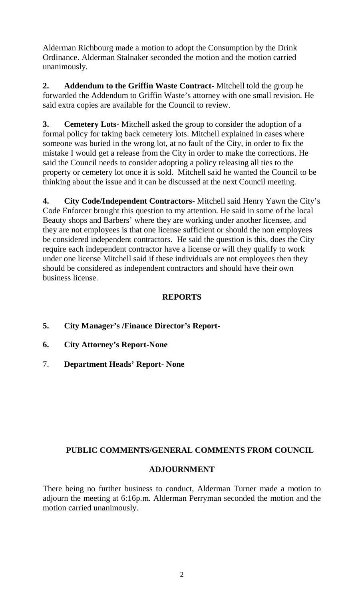Alderman Richbourg made a motion to adopt the Consumption by the Drink Ordinance. Alderman Stalnaker seconded the motion and the motion carried unanimously.

**2. Addendum to the Griffin Waste Contract-** Mitchell told the group he forwarded the Addendum to Griffin Waste's attorney with one small revision. He said extra copies are available for the Council to review.

**3. Cemetery Lots-** Mitchell asked the group to consider the adoption of a formal policy for taking back cemetery lots. Mitchell explained in cases where someone was buried in the wrong lot, at no fault of the City, in order to fix the mistake I would get a release from the City in order to make the corrections. He said the Council needs to consider adopting a policy releasing all ties to the property or cemetery lot once it is sold. Mitchell said he wanted the Council to be thinking about the issue and it can be discussed at the next Council meeting.

**4. City Code/Independent Contractors-** Mitchell said Henry Yawn the City's Code Enforcer brought this question to my attention. He said in some of the local Beauty shops and Barbers' where they are working under another licensee, and they are not employees is that one license sufficient or should the non employees be considered independent contractors. He said the question is this, does the City require each independent contractor have a license or will they qualify to work under one license Mitchell said if these individuals are not employees then they should be considered as independent contractors and should have their own business license.

# **REPORTS**

- **5. City Manager's /Finance Director's Report-**
- **6. City Attorney's Report-None**
- 7. **Department Heads' Report- None**

# **PUBLIC COMMENTS/GENERAL COMMENTS FROM COUNCIL**

## **ADJOURNMENT**

There being no further business to conduct, Alderman Turner made a motion to adjourn the meeting at 6:16p.m. Alderman Perryman seconded the motion and the motion carried unanimously.